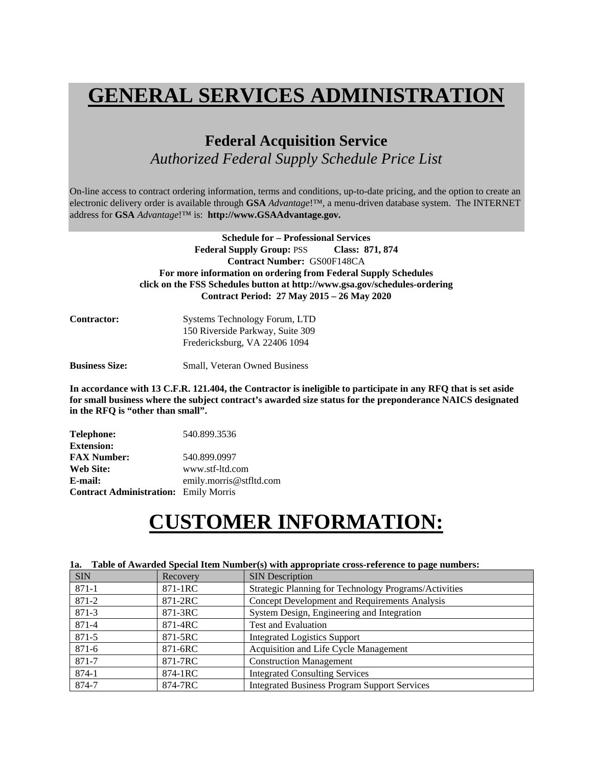# **GENERAL SERVICES ADMINISTRATION**

# **Federal Acquisition Service**  *Authorized Federal Supply Schedule Price List*

On-line access to contract ordering information, terms and conditions, up-to-date pricing, and the option to create an electronic delivery order is available through **GSA** *Advantage*!™, a menu-driven database system. The INTERNET address for **GSA** *Advantage*!™ is: **http://www.GSAAdvantage.gov.** 

> **Schedule for – Professional Services**  Federal Supply Group: PSS Class: 871, 874 **Contract Number:** GS00F148CA **For more information on ordering from Federal Supply Schedules click on the FSS Schedules button at http://www.gsa.gov/schedules-ordering Contract Period: 27 May 2015 – 26 May 2020**

| <b>Contractor:</b> | Systems Technology Forum, LTD    |
|--------------------|----------------------------------|
|                    | 150 Riverside Parkway, Suite 309 |
|                    | Fredericksburg, VA 22406 1094    |

**Business Size:** Small, Veteran Owned Business

**In accordance with 13 C.F.R. 121.404, the Contractor is ineligible to participate in any RFQ that is set aside for small business where the subject contract's awarded size status for the preponderance NAICS designated in the RFQ is "other than small".** 

| <b>Telephone:</b>                            | 540.899.3536            |
|----------------------------------------------|-------------------------|
| <b>Extension:</b>                            |                         |
| <b>FAX Number:</b>                           | 540.899.0997            |
| Web Site:                                    | www.stf-ltd.com         |
| E-mail:                                      | emily.morris@stfltd.com |
| <b>Contract Administration:</b> Emily Morris |                         |

# **CUSTOMER INFORMATION:**

| 1a.        | Table of Awarded Special Rein Number(s) with appropriate cross-reference to page numbers: |                                                       |  |  |  |  |  |  |
|------------|-------------------------------------------------------------------------------------------|-------------------------------------------------------|--|--|--|--|--|--|
| <b>SIN</b> | Recovery                                                                                  | <b>SIN</b> Description                                |  |  |  |  |  |  |
| 871-1      | 871-1RC                                                                                   | Strategic Planning for Technology Programs/Activities |  |  |  |  |  |  |
| 871-2      | 871-2RC                                                                                   | Concept Development and Requirements Analysis         |  |  |  |  |  |  |
| $871 - 3$  | 871-3RC                                                                                   | System Design, Engineering and Integration            |  |  |  |  |  |  |
| 871-4      | 871-4RC                                                                                   | <b>Test and Evaluation</b>                            |  |  |  |  |  |  |
| $871 - 5$  | 871-5RC                                                                                   | <b>Integrated Logistics Support</b>                   |  |  |  |  |  |  |
| 871-6      | 871-6RC                                                                                   | Acquisition and Life Cycle Management                 |  |  |  |  |  |  |
| 871-7      | 871-7RC                                                                                   | <b>Construction Management</b>                        |  |  |  |  |  |  |
| 874-1      | 874-1RC                                                                                   | <b>Integrated Consulting Services</b>                 |  |  |  |  |  |  |
| 874-7      | 874-7RC                                                                                   | <b>Integrated Business Program Support Services</b>   |  |  |  |  |  |  |

# **1a. Table of Awarded Special Item Number(s) with appropriate cross-reference to page numbers:**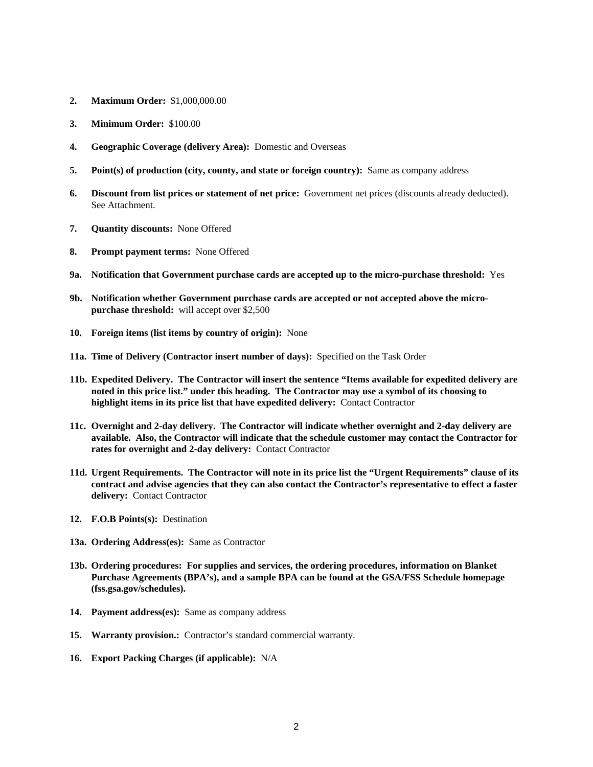- **2. Maximum Order:** \$1,000,000.00
- **3. Minimum Order:** \$100.00
- **4. Geographic Coverage (delivery Area):** Domestic and Overseas
- **5. Point(s) of production (city, county, and state or foreign country):** Same as company address
- **6. Discount from list prices or statement of net price:** Government net prices (discounts already deducted). See Attachment.
- **7. Quantity discounts:** None Offered
- **8. Prompt payment terms:** None Offered
- **9a. Notification that Government purchase cards are accepted up to the micro-purchase threshold:** Yes
- **9b. Notification whether Government purchase cards are accepted or not accepted above the micropurchase threshold:** will accept over \$2,500
- **10. Foreign items (list items by country of origin):** None
- **11a. Time of Delivery (Contractor insert number of days):** Specified on the Task Order
- **11b. Expedited Delivery. The Contractor will insert the sentence "Items available for expedited delivery are noted in this price list." under this heading. The Contractor may use a symbol of its choosing to highlight items in its price list that have expedited delivery:** Contact Contractor
- **11c. Overnight and 2-day delivery. The Contractor will indicate whether overnight and 2-day delivery are available. Also, the Contractor will indicate that the schedule customer may contact the Contractor for rates for overnight and 2-day delivery:** Contact Contractor
- **11d. Urgent Requirements. The Contractor will note in its price list the "Urgent Requirements" clause of its contract and advise agencies that they can also contact the Contractor's representative to effect a faster delivery:** Contact Contractor
- **12. F.O.B Points(s):** Destination
- **13a. Ordering Address(es):** Same as Contractor
- **13b. Ordering procedures: For supplies and services, the ordering procedures, information on Blanket Purchase Agreements (BPA's), and a sample BPA can be found at the GSA/FSS Schedule homepage (fss.gsa.gov/schedules).**
- **14. Payment address(es):** Same as company address
- **15. Warranty provision.:** Contractor's standard commercial warranty.
- **16. Export Packing Charges (if applicable):** N/A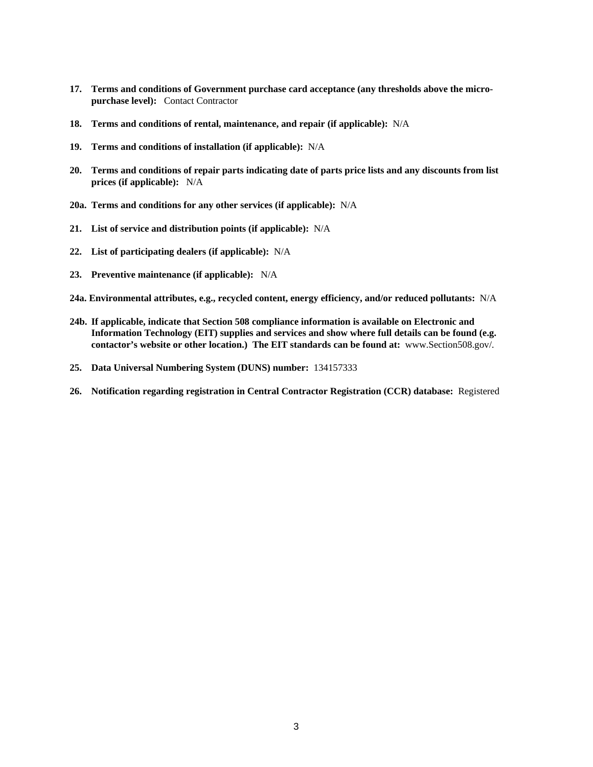- **17. Terms and conditions of Government purchase card acceptance (any thresholds above the micropurchase level):** Contact Contractor
- **18. Terms and conditions of rental, maintenance, and repair (if applicable):** N/A
- **19. Terms and conditions of installation (if applicable):** N/A
- **20. Terms and conditions of repair parts indicating date of parts price lists and any discounts from list prices (if applicable):** N/A
- **20a. Terms and conditions for any other services (if applicable):** N/A
- **21. List of service and distribution points (if applicable):** N/A
- **22. List of participating dealers (if applicable):** N/A
- **23. Preventive maintenance (if applicable):** N/A
- **24a. Environmental attributes, e.g., recycled content, energy efficiency, and/or reduced pollutants:** N/A
- **24b. If applicable, indicate that Section 508 compliance information is available on Electronic and Information Technology (EIT) supplies and services and show where full details can be found (e.g. contactor's website or other location.) The EIT standards can be found at:** www.Section508.gov/.
- **25. Data Universal Numbering System (DUNS) number:** 134157333
- **26. Notification regarding registration in Central Contractor Registration (CCR) database:** Registered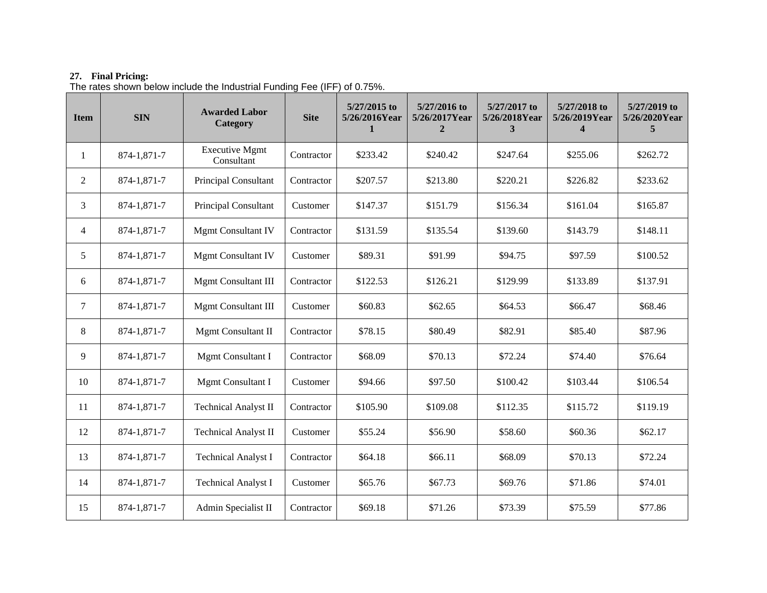## **27. Final Pricing:**

The rates shown below include the Industrial Funding Fee (IFF) of 0.75%.

| <b>Item</b>    | <b>SIN</b>  | <b>Awarded Labor</b><br>Category    | <b>Site</b> | 5/27/2015 to<br>5/26/2016Year<br>1 | 5/27/2016 to<br>5/26/2017Year<br>$\boldsymbol{2}$ | 5/27/2017 to<br>5/26/2018Year<br>3 | 5/27/2018 to<br>5/26/2019Year<br>4 | 5/27/2019 to<br>5/26/2020Year<br>5 |
|----------------|-------------|-------------------------------------|-------------|------------------------------------|---------------------------------------------------|------------------------------------|------------------------------------|------------------------------------|
| 1              | 874-1,871-7 | <b>Executive Mgmt</b><br>Consultant | Contractor  | \$233.42                           | \$240.42                                          | \$247.64                           | \$255.06                           | \$262.72                           |
| 2              | 874-1,871-7 | Principal Consultant                | Contractor  | \$207.57                           | \$213.80                                          | \$220.21                           | \$226.82                           | \$233.62                           |
| 3              | 874-1,871-7 | Principal Consultant                | Customer    | \$147.37                           | \$151.79                                          | \$156.34                           | \$161.04                           | \$165.87                           |
| $\overline{4}$ | 874-1,871-7 | <b>Mgmt Consultant IV</b>           | Contractor  | \$131.59                           | \$135.54                                          | \$139.60                           | \$143.79                           | \$148.11                           |
| 5              | 874-1,871-7 | <b>Mgmt Consultant IV</b>           | Customer    | \$89.31                            | \$91.99                                           | \$94.75                            | \$97.59                            | \$100.52                           |
| 6              | 874-1,871-7 | Mgmt Consultant III                 | Contractor  | \$122.53                           | \$126.21                                          | \$129.99                           | \$133.89                           | \$137.91                           |
| 7              | 874-1,871-7 | <b>Mgmt Consultant III</b>          | Customer    | \$60.83                            | \$62.65                                           | \$64.53                            | \$66.47                            | \$68.46                            |
| 8              | 874-1,871-7 | Mgmt Consultant II                  | Contractor  | \$78.15                            | \$80.49                                           | \$82.91                            | \$85.40                            | \$87.96                            |
| 9              | 874-1,871-7 | Mgmt Consultant I                   | Contractor  | \$68.09                            | \$70.13                                           | \$72.24                            | \$74.40                            | \$76.64                            |
| 10             | 874-1,871-7 | Mgmt Consultant I                   | Customer    | \$94.66                            | \$97.50                                           | \$100.42                           | \$103.44                           | \$106.54                           |
| 11             | 874-1,871-7 | <b>Technical Analyst II</b>         | Contractor  | \$105.90                           | \$109.08                                          | \$112.35                           | \$115.72                           | \$119.19                           |
| 12             | 874-1,871-7 | <b>Technical Analyst II</b>         | Customer    | \$55.24                            | \$56.90                                           | \$58.60                            | \$60.36                            | \$62.17                            |
| 13             | 874-1,871-7 | <b>Technical Analyst I</b>          | Contractor  | \$64.18                            | \$66.11                                           | \$68.09                            | \$70.13                            | \$72.24                            |
| 14             | 874-1,871-7 | <b>Technical Analyst I</b>          | Customer    | \$65.76                            | \$67.73                                           | \$69.76                            | \$71.86                            | \$74.01                            |
| 15             | 874-1,871-7 | Admin Specialist II                 | Contractor  | \$69.18                            | \$71.26                                           | \$73.39                            | \$75.59                            | \$77.86                            |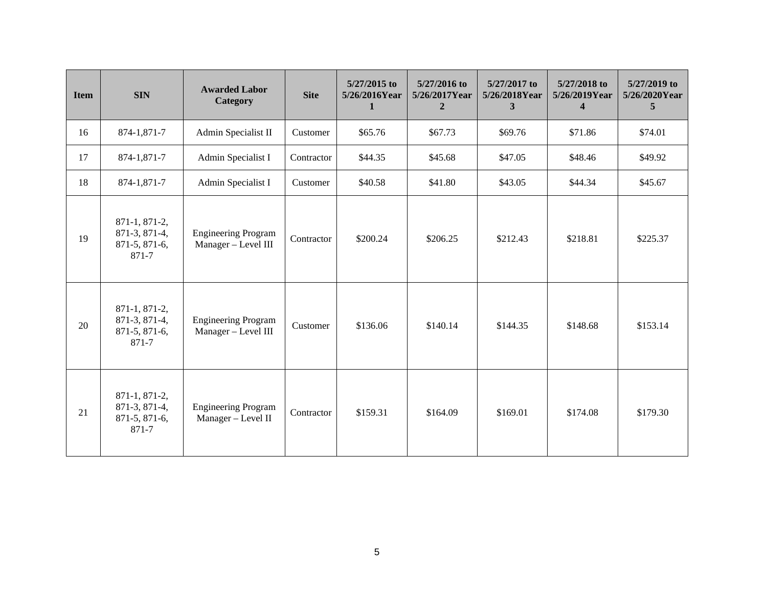| <b>Item</b> | <b>SIN</b>                                               | <b>Awarded Labor</b><br>Category                  | <b>Site</b> | 5/27/2015 to<br>5/26/2016Year<br>1 | 5/27/2016 to<br>5/26/2017Year<br>$\mathbf{2}$ | 5/27/2017 to<br>5/26/2018Year<br>3 | 5/27/2018 to<br>5/26/2019Year<br>$\overline{\mathbf{4}}$ | 5/27/2019 to<br>5/26/2020Year<br>$\overline{5}$ |
|-------------|----------------------------------------------------------|---------------------------------------------------|-------------|------------------------------------|-----------------------------------------------|------------------------------------|----------------------------------------------------------|-------------------------------------------------|
| 16          | 874-1,871-7                                              | Admin Specialist II                               | Customer    | \$65.76                            | \$67.73                                       | \$69.76                            | \$71.86                                                  | \$74.01                                         |
| 17          | 874-1,871-7                                              | Admin Specialist I                                | Contractor  | \$44.35                            | \$45.68                                       | \$47.05                            | \$48.46                                                  | \$49.92                                         |
| 18          | 874-1,871-7                                              | Admin Specialist I                                | Customer    | \$40.58                            | \$41.80                                       | \$43.05                            | \$44.34                                                  | \$45.67                                         |
| 19          | 871-1, 871-2,<br>871-3, 871-4,<br>871-5, 871-6,<br>871-7 | <b>Engineering Program</b><br>Manager - Level III | Contractor  | \$200.24                           | \$206.25                                      | \$212.43                           | \$218.81                                                 | \$225.37                                        |
| 20          | 871-1, 871-2,<br>871-3, 871-4,<br>871-5, 871-6,<br>871-7 | <b>Engineering Program</b><br>Manager - Level III | Customer    | \$136.06                           | \$140.14                                      | \$144.35                           | \$148.68                                                 | \$153.14                                        |
| 21          | 871-1, 871-2,<br>871-3, 871-4,<br>871-5, 871-6,<br>871-7 | <b>Engineering Program</b><br>Manager - Level II  | Contractor  | \$159.31                           | \$164.09                                      | \$169.01                           | \$174.08                                                 | \$179.30                                        |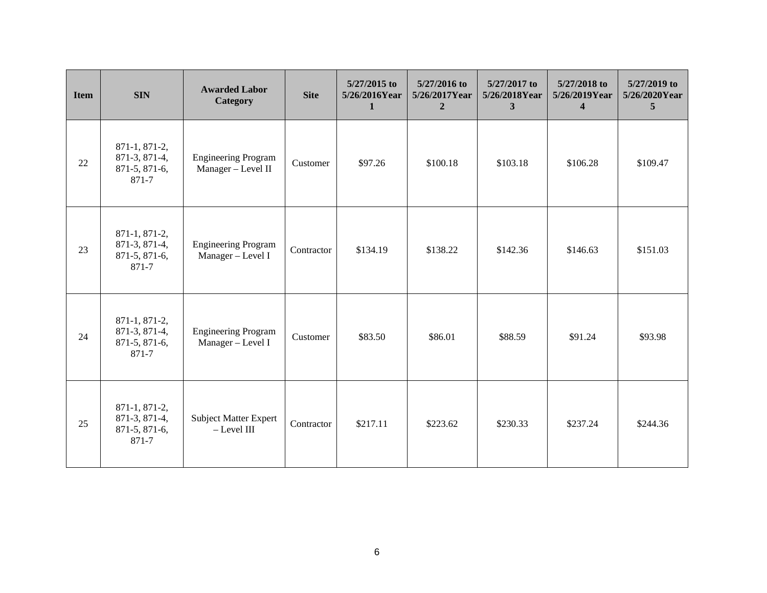| <b>Item</b> | <b>SIN</b>                                               | <b>Awarded Labor</b><br>Category                 | <b>Site</b> | 5/27/2015 to<br>5/26/2016Year<br>1 | 5/27/2016 to<br>5/26/2017Year<br>$\mathbf{2}$ | 5/27/2017 to<br>5/26/2018Year<br>3 | 5/27/2018 to<br>5/26/2019Year<br>$\overline{4}$ | 5/27/2019 to<br>5/26/2020Year<br>$\overline{5}$ |
|-------------|----------------------------------------------------------|--------------------------------------------------|-------------|------------------------------------|-----------------------------------------------|------------------------------------|-------------------------------------------------|-------------------------------------------------|
| 22          | 871-1, 871-2,<br>871-3, 871-4,<br>871-5, 871-6,<br>871-7 | <b>Engineering Program</b><br>Manager - Level II | Customer    | \$97.26                            | \$100.18                                      | \$103.18                           | \$106.28                                        | \$109.47                                        |
| 23          | 871-1, 871-2,<br>871-3, 871-4,<br>871-5, 871-6,<br>871-7 | <b>Engineering Program</b><br>Manager - Level I  | Contractor  | \$134.19                           | \$138.22                                      | \$142.36                           | \$146.63                                        | \$151.03                                        |
| 24          | 871-1, 871-2,<br>871-3, 871-4,<br>871-5, 871-6,<br>871-7 | <b>Engineering Program</b><br>Manager - Level I  | Customer    | \$83.50                            | \$86.01                                       | \$88.59                            | \$91.24                                         | \$93.98                                         |
| 25          | 871-1, 871-2,<br>871-3, 871-4,<br>871-5, 871-6,<br>871-7 | <b>Subject Matter Expert</b><br>$-$ Level III    | Contractor  | \$217.11                           | \$223.62                                      | \$230.33                           | \$237.24                                        | \$244.36                                        |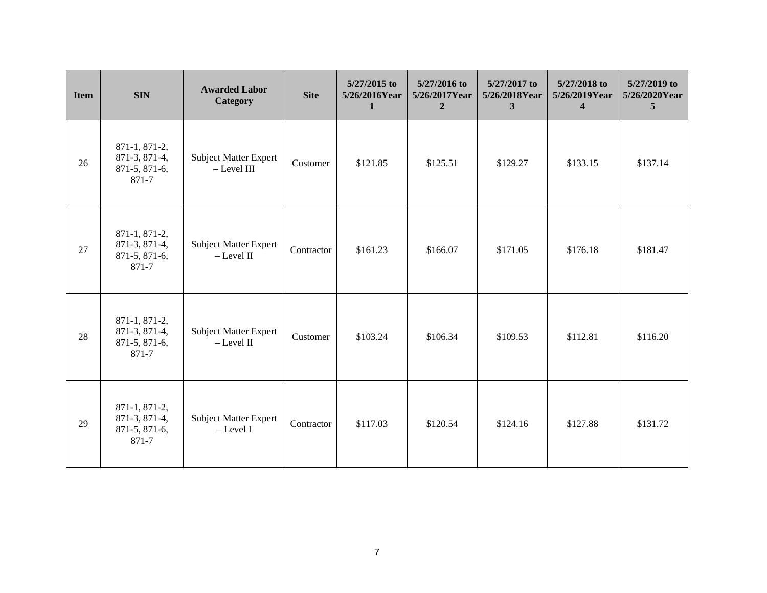| <b>Item</b> | <b>SIN</b>                                                 | <b>Awarded Labor</b><br>Category              | <b>Site</b> | 5/27/2015 to<br>5/26/2016Year<br>1 | 5/27/2016 to<br>5/26/2017Year<br>$\mathbf{2}$ | 5/27/2017 to<br>5/26/2018Year<br>3 | 5/27/2018 to<br>5/26/2019Year<br>$\overline{\mathbf{4}}$ | 5/27/2019 to<br>5/26/2020Year<br>$\overline{5}$ |
|-------------|------------------------------------------------------------|-----------------------------------------------|-------------|------------------------------------|-----------------------------------------------|------------------------------------|----------------------------------------------------------|-------------------------------------------------|
| 26          | 871-1, 871-2,<br>871-3, 871-4,<br>$871-5, 871-6,$<br>871-7 | <b>Subject Matter Expert</b><br>$-$ Level III | Customer    | \$121.85                           | \$125.51                                      | \$129.27                           | \$133.15                                                 | \$137.14                                        |
| 27          | 871-1, 871-2,<br>871-3, 871-4,<br>871-5, 871-6,<br>871-7   | <b>Subject Matter Expert</b><br>$-$ Level II  | Contractor  | \$161.23                           | \$166.07                                      | \$171.05                           | \$176.18                                                 | \$181.47                                        |
| 28          | 871-1, 871-2,<br>871-3, 871-4,<br>871-5, 871-6,<br>871-7   | Subject Matter Expert<br>$-$ Level II         | Customer    | \$103.24                           | \$106.34                                      | \$109.53                           | \$112.81                                                 | \$116.20                                        |
| 29          | 871-1, 871-2,<br>871-3, 871-4,<br>871-5, 871-6,<br>871-7   | <b>Subject Matter Expert</b><br>$-$ Level I   | Contractor  | \$117.03                           | \$120.54                                      | \$124.16                           | \$127.88                                                 | \$131.72                                        |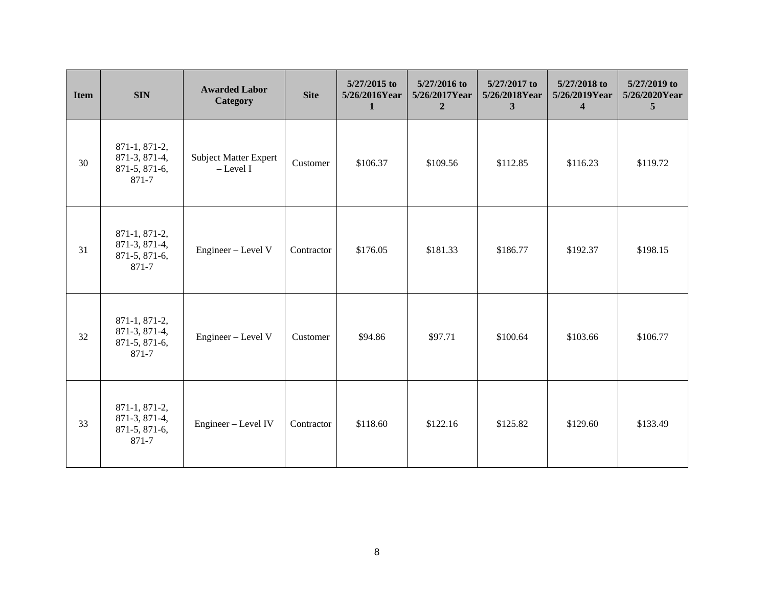| <b>Item</b> | <b>SIN</b>                                               | <b>Awarded Labor</b><br>Category            | <b>Site</b> | 5/27/2015 to<br>5/26/2016Year<br>1 | 5/27/2016 to<br>5/26/2017Year<br>$\overline{2}$ | 5/27/2017 to<br>5/26/2018Year<br>3 | 5/27/2018 to<br>5/26/2019Year<br>$\overline{4}$ | 5/27/2019 to<br>5/26/2020Year<br>$\overline{5}$ |
|-------------|----------------------------------------------------------|---------------------------------------------|-------------|------------------------------------|-------------------------------------------------|------------------------------------|-------------------------------------------------|-------------------------------------------------|
| 30          | 871-1, 871-2,<br>871-3, 871-4,<br>871-5, 871-6,<br>871-7 | <b>Subject Matter Expert</b><br>$-$ Level I | Customer    | \$106.37                           | \$109.56                                        | \$112.85                           | \$116.23                                        | \$119.72                                        |
| 31          | 871-1, 871-2,<br>871-3, 871-4,<br>871-5, 871-6,<br>871-7 | Engineer - Level V                          | Contractor  | \$176.05                           | \$181.33                                        | \$186.77                           | \$192.37                                        | \$198.15                                        |
| 32          | 871-1, 871-2,<br>871-3, 871-4,<br>871-5, 871-6,<br>871-7 | Engineer - Level V                          | Customer    | \$94.86                            | \$97.71                                         | \$100.64                           | \$103.66                                        | \$106.77                                        |
| 33          | 871-1, 871-2,<br>871-3, 871-4,<br>871-5, 871-6,<br>871-7 | Engineer - Level IV                         | Contractor  | \$118.60                           | \$122.16                                        | \$125.82                           | \$129.60                                        | \$133.49                                        |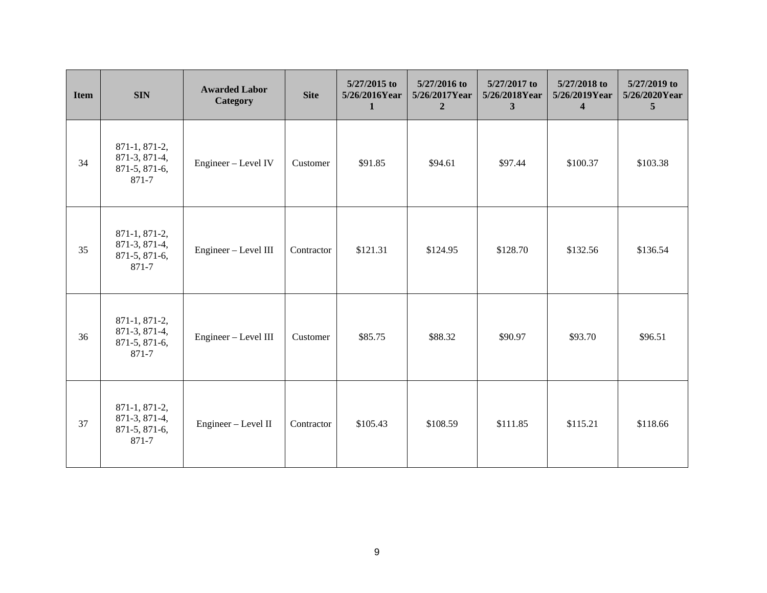| <b>Item</b> | <b>SIN</b>                                               | <b>Awarded Labor</b><br>Category | <b>Site</b> | 5/27/2015 to<br>5/26/2016Year<br>1 | 5/27/2016 to<br>5/26/2017Year<br>$\overline{2}$ | 5/27/2017 to<br>5/26/2018Year<br>3 | 5/27/2018 to<br>5/26/2019Year<br>$\overline{4}$ | 5/27/2019 to<br>5/26/2020Year<br>$\overline{5}$ |
|-------------|----------------------------------------------------------|----------------------------------|-------------|------------------------------------|-------------------------------------------------|------------------------------------|-------------------------------------------------|-------------------------------------------------|
| 34          | 871-1, 871-2,<br>871-3, 871-4,<br>871-5, 871-6,<br>871-7 | Engineer - Level IV              | Customer    | \$91.85                            | \$94.61                                         | \$97.44                            | \$100.37                                        | \$103.38                                        |
| 35          | 871-1, 871-2,<br>871-3, 871-4,<br>871-5, 871-6,<br>871-7 | Engineer - Level III             | Contractor  | \$121.31                           | \$124.95                                        | \$128.70                           | \$132.56                                        | \$136.54                                        |
| 36          | 871-1, 871-2,<br>871-3, 871-4,<br>871-5, 871-6,<br>871-7 | Engineer - Level III             | Customer    | \$85.75                            | \$88.32                                         | \$90.97                            | \$93.70                                         | \$96.51                                         |
| 37          | 871-1, 871-2,<br>871-3, 871-4,<br>871-5, 871-6,<br>871-7 | Engineer - Level II              | Contractor  | \$105.43                           | \$108.59                                        | \$111.85                           | \$115.21                                        | \$118.66                                        |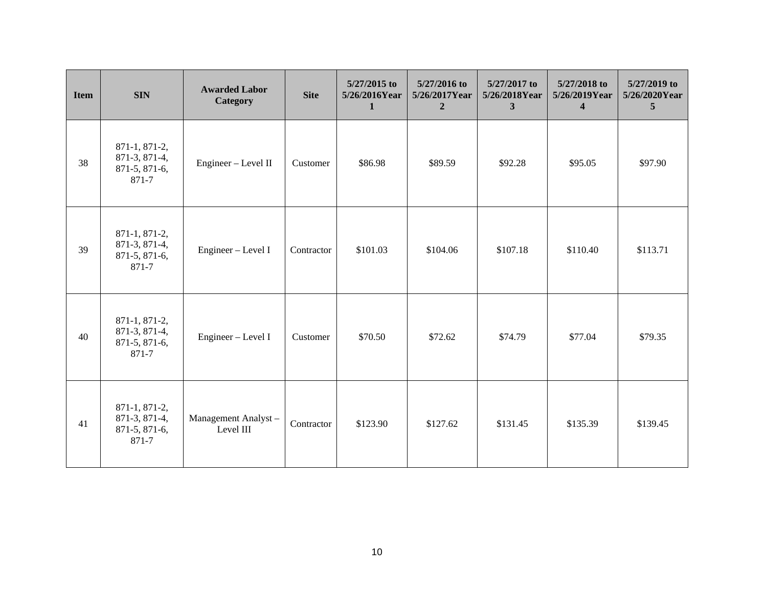| <b>Item</b> | <b>SIN</b>                                               | <b>Awarded Labor</b><br>Category | <b>Site</b> | 5/27/2015 to<br>5/26/2016Year<br>1 | 5/27/2016 to<br>5/26/2017Year<br>$\overline{2}$ | 5/27/2017 to<br>5/26/2018Year<br>3 | 5/27/2018 to<br>5/26/2019Year<br>$\overline{4}$ | 5/27/2019 to<br>5/26/2020Year<br>$\overline{5}$ |
|-------------|----------------------------------------------------------|----------------------------------|-------------|------------------------------------|-------------------------------------------------|------------------------------------|-------------------------------------------------|-------------------------------------------------|
| 38          | 871-1, 871-2,<br>871-3, 871-4,<br>871-5, 871-6,<br>871-7 | Engineer - Level II              | Customer    | \$86.98                            | \$89.59                                         | \$92.28                            | \$95.05                                         | \$97.90                                         |
| 39          | 871-1, 871-2,<br>871-3, 871-4,<br>871-5, 871-6,<br>871-7 | Engineer - Level I               | Contractor  | \$101.03                           | \$104.06                                        | \$107.18                           | \$110.40                                        | \$113.71                                        |
| 40          | 871-1, 871-2,<br>871-3, 871-4,<br>871-5, 871-6,<br>871-7 | Engineer - Level I               | Customer    | \$70.50                            | \$72.62                                         | \$74.79                            | \$77.04                                         | \$79.35                                         |
| 41          | 871-1, 871-2,<br>871-3, 871-4,<br>871-5, 871-6,<br>871-7 | Management Analyst-<br>Level III | Contractor  | \$123.90                           | \$127.62                                        | \$131.45                           | \$135.39                                        | \$139.45                                        |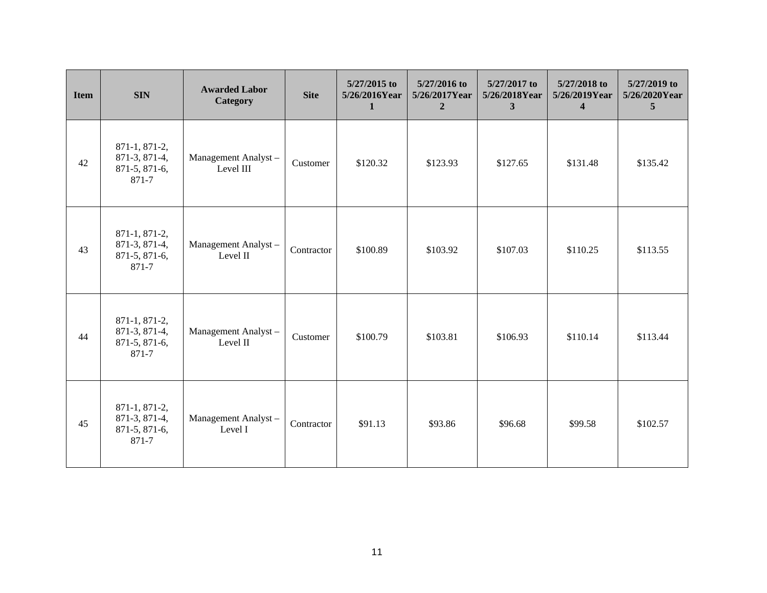| <b>Item</b> | <b>SIN</b>                                               | <b>Awarded Labor</b><br>Category | <b>Site</b> | 5/27/2015 to<br>5/26/2016Year<br>1 | 5/27/2016 to<br>5/26/2017Year<br>$\mathbf{2}$ | 5/27/2017 to<br>5/26/2018Year<br>3 | 5/27/2018 to<br>5/26/2019Year<br>$\overline{\mathbf{4}}$ | 5/27/2019 to<br>5/26/2020Year<br>$\overline{5}$ |
|-------------|----------------------------------------------------------|----------------------------------|-------------|------------------------------------|-----------------------------------------------|------------------------------------|----------------------------------------------------------|-------------------------------------------------|
| 42          | 871-1, 871-2,<br>871-3, 871-4,<br>871-5, 871-6,<br>871-7 | Management Analyst-<br>Level III | Customer    | \$120.32                           | \$123.93                                      | \$127.65                           | \$131.48                                                 | \$135.42                                        |
| 43          | 871-1, 871-2,<br>871-3, 871-4,<br>871-5, 871-6,<br>871-7 | Management Analyst-<br>Level II  | Contractor  | \$100.89                           | \$103.92                                      | \$107.03                           | \$110.25                                                 | \$113.55                                        |
| 44          | 871-1, 871-2,<br>871-3, 871-4,<br>871-5, 871-6,<br>871-7 | Management Analyst-<br>Level II  | Customer    | \$100.79                           | \$103.81                                      | \$106.93                           | \$110.14                                                 | \$113.44                                        |
| 45          | 871-1, 871-2,<br>871-3, 871-4,<br>871-5, 871-6,<br>871-7 | Management Analyst-<br>Level I   | Contractor  | \$91.13                            | \$93.86                                       | \$96.68                            | \$99.58                                                  | \$102.57                                        |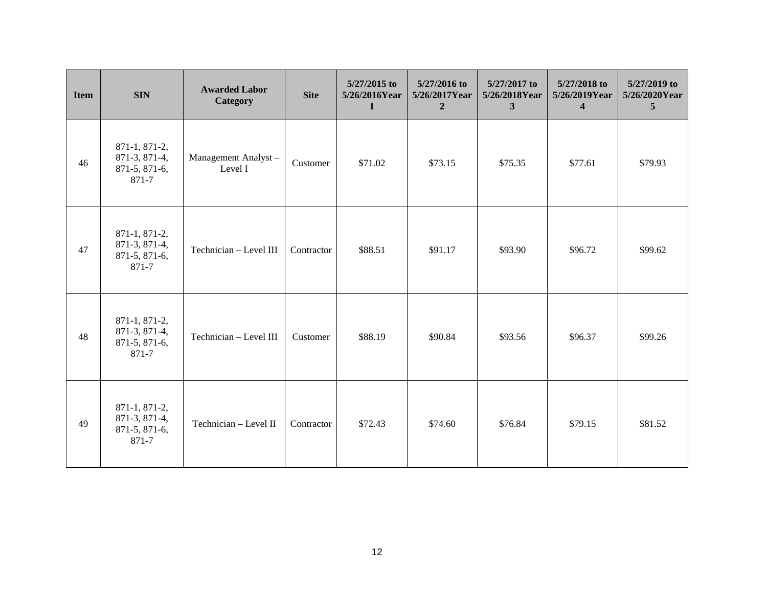| <b>Item</b> | <b>SIN</b>                                               | <b>Awarded Labor</b><br>Category | <b>Site</b> | 5/27/2015 to<br>5/26/2016Year<br>1 | 5/27/2016 to<br>5/26/2017Year<br>$\overline{2}$ | 5/27/2017 to<br>5/26/2018Year<br>3 | 5/27/2018 to<br>5/26/2019Year<br>$\overline{4}$ | 5/27/2019 to<br>5/26/2020Year<br>$\overline{5}$ |
|-------------|----------------------------------------------------------|----------------------------------|-------------|------------------------------------|-------------------------------------------------|------------------------------------|-------------------------------------------------|-------------------------------------------------|
| 46          | 871-1, 871-2,<br>871-3, 871-4,<br>871-5, 871-6,<br>871-7 | Management Analyst-<br>Level I   | Customer    | \$71.02                            | \$73.15                                         | \$75.35                            | \$77.61                                         | \$79.93                                         |
| 47          | 871-1, 871-2,<br>871-3, 871-4,<br>871-5, 871-6,<br>871-7 | Technician - Level III           | Contractor  | \$88.51                            | \$91.17                                         | \$93.90                            | \$96.72                                         | \$99.62                                         |
| 48          | 871-1, 871-2,<br>871-3, 871-4,<br>871-5, 871-6,<br>871-7 | Technician - Level III           | Customer    | \$88.19                            | \$90.84                                         | \$93.56                            | \$96.37                                         | \$99.26                                         |
| 49          | 871-1, 871-2,<br>871-3, 871-4,<br>871-5, 871-6,<br>871-7 | Technician - Level II            | Contractor  | \$72.43                            | \$74.60                                         | \$76.84                            | \$79.15                                         | \$81.52                                         |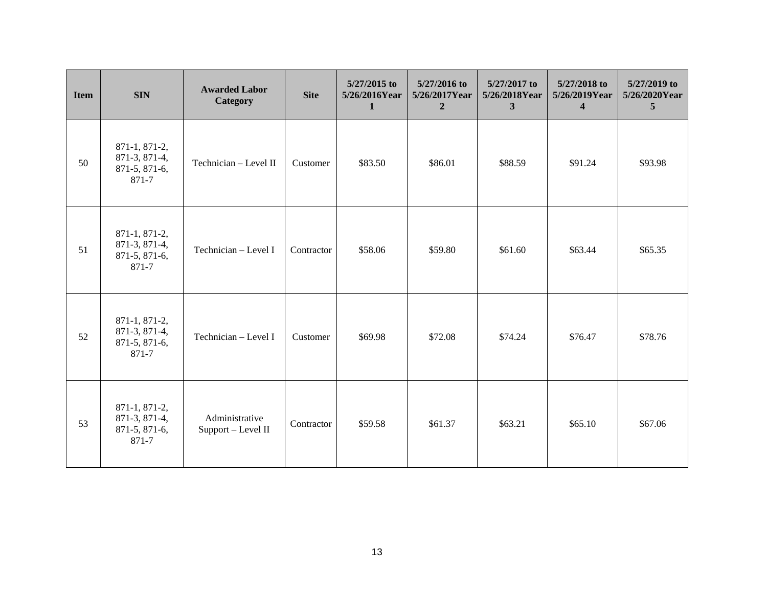| <b>Item</b> | <b>SIN</b>                                               | <b>Awarded Labor</b><br>Category     | <b>Site</b> | 5/27/2015 to<br>5/26/2016Year<br>1 | 5/27/2016 to<br>5/26/2017Year<br>$\overline{2}$ | 5/27/2017 to<br>5/26/2018Year<br>3 | 5/27/2018 to<br>5/26/2019Year<br>$\overline{4}$ | 5/27/2019 to<br>5/26/2020Year<br>$\overline{5}$ |
|-------------|----------------------------------------------------------|--------------------------------------|-------------|------------------------------------|-------------------------------------------------|------------------------------------|-------------------------------------------------|-------------------------------------------------|
| 50          | 871-1, 871-2,<br>871-3, 871-4,<br>871-5, 871-6,<br>871-7 | Technician - Level II                | Customer    | \$83.50                            | \$86.01                                         | \$88.59                            | \$91.24                                         | \$93.98                                         |
| 51          | 871-1, 871-2,<br>871-3, 871-4,<br>871-5, 871-6,<br>871-7 | Technician - Level I                 | Contractor  | \$58.06                            | \$59.80                                         | \$61.60                            | \$63.44                                         | \$65.35                                         |
| 52          | 871-1, 871-2,<br>871-3, 871-4,<br>871-5, 871-6,<br>871-7 | Technician - Level I                 | Customer    | \$69.98                            | \$72.08                                         | \$74.24                            | \$76.47                                         | \$78.76                                         |
| 53          | 871-1, 871-2,<br>871-3, 871-4,<br>871-5, 871-6,<br>871-7 | Administrative<br>Support - Level II | Contractor  | \$59.58                            | \$61.37                                         | \$63.21                            | \$65.10                                         | \$67.06                                         |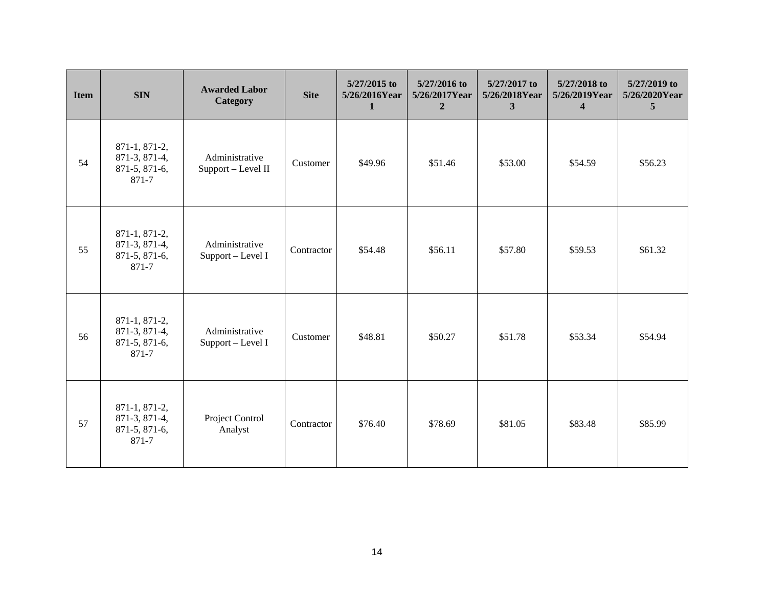| <b>Item</b> | <b>SIN</b>                                               | <b>Awarded Labor</b><br>Category     | <b>Site</b> | 5/27/2015 to<br>5/26/2016Year<br>1 | 5/27/2016 to<br>5/26/2017Year<br>$\overline{2}$ | 5/27/2017 to<br>5/26/2018Year<br>3 | 5/27/2018 to<br>5/26/2019Year<br>$\overline{4}$ | 5/27/2019 to<br>5/26/2020Year<br>$\overline{5}$ |
|-------------|----------------------------------------------------------|--------------------------------------|-------------|------------------------------------|-------------------------------------------------|------------------------------------|-------------------------------------------------|-------------------------------------------------|
| 54          | 871-1, 871-2,<br>871-3, 871-4,<br>871-5, 871-6,<br>871-7 | Administrative<br>Support - Level II | Customer    | \$49.96                            | \$51.46                                         | \$53.00                            | \$54.59                                         | \$56.23                                         |
| 55          | 871-1, 871-2,<br>871-3, 871-4,<br>871-5, 871-6,<br>871-7 | Administrative<br>Support - Level I  | Contractor  | \$54.48                            | \$56.11                                         | \$57.80                            | \$59.53                                         | \$61.32                                         |
| 56          | 871-1, 871-2,<br>871-3, 871-4,<br>871-5, 871-6,<br>871-7 | Administrative<br>Support - Level I  | Customer    | \$48.81                            | \$50.27                                         | \$51.78                            | \$53.34                                         | \$54.94                                         |
| 57          | 871-1, 871-2,<br>871-3, 871-4,<br>871-5, 871-6,<br>871-7 | Project Control<br>Analyst           | Contractor  | \$76.40                            | \$78.69                                         | \$81.05                            | \$83.48                                         | \$85.99                                         |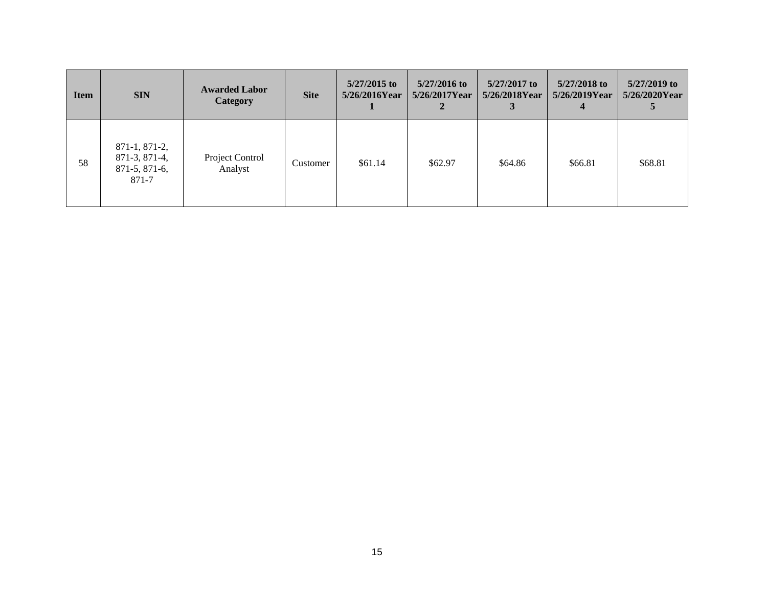| <b>Item</b> | <b>SIN</b>                                                   | <b>Awarded Labor</b><br><b>Category</b> | <b>Site</b> | 5/27/2015 to<br>$5/26/2016$ Year | $5/27/2016$ to<br>5/26/2017Year | $5/27/2017$ to<br>5/26/2018Year | $5/27/2018$ to<br>$5/26/2019$ Year | $5/27/2019$ to<br>5/26/2020Year |
|-------------|--------------------------------------------------------------|-----------------------------------------|-------------|----------------------------------|---------------------------------|---------------------------------|------------------------------------|---------------------------------|
| 58          | $871-1, 871-2,$<br>871-3, 871-4,<br>$871-5, 871-6,$<br>871-7 | Project Control<br>Analyst              | Customer    | \$61.14                          | \$62.97                         | \$64.86                         | \$66.81                            | \$68.81                         |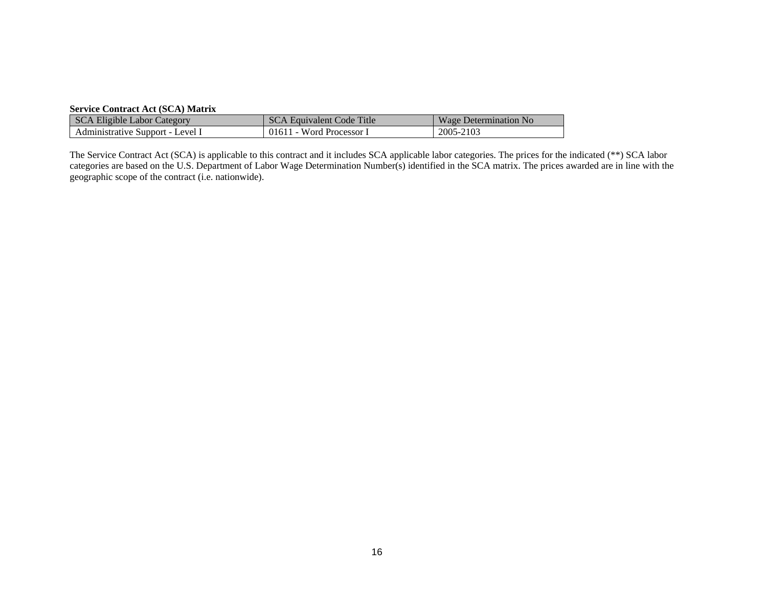# **Service Contract Act (SCA) Matrix**

| <b>SCA Eligible Labor Category</b> | SCA Equivalent Code Title | Wage Determination No |
|------------------------------------|---------------------------|-----------------------|
| Administrative Support - Level I   | 01611 - Word Processor I  | 2005-2103             |

The Service Contract Act (SCA) is applicable to this contract and it includes SCA applicable labor categories. The prices for the indicated (\*\*) SCA labor categories are based on the U.S. Department of Labor Wage Determination Number(s) identified in the SCA matrix. The prices awarded are in line with the geographic scope of the contract (i.e. nationwide).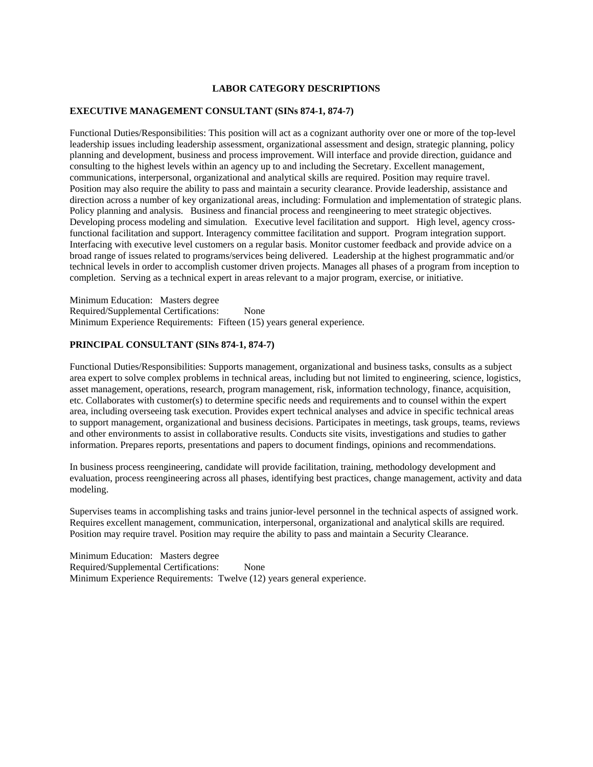## **LABOR CATEGORY DESCRIPTIONS**

#### **EXECUTIVE MANAGEMENT CONSULTANT (SINs 874-1, 874-7)**

Functional Duties/Responsibilities: This position will act as a cognizant authority over one or more of the top-level leadership issues including leadership assessment, organizational assessment and design, strategic planning, policy planning and development, business and process improvement. Will interface and provide direction, guidance and consulting to the highest levels within an agency up to and including the Secretary. Excellent management, communications, interpersonal, organizational and analytical skills are required. Position may require travel. Position may also require the ability to pass and maintain a security clearance. Provide leadership, assistance and direction across a number of key organizational areas, including: Formulation and implementation of strategic plans. Policy planning and analysis. Business and financial process and reengineering to meet strategic objectives. Developing process modeling and simulation. Executive level facilitation and support. High level, agency crossfunctional facilitation and support. Interagency committee facilitation and support. Program integration support. Interfacing with executive level customers on a regular basis. Monitor customer feedback and provide advice on a broad range of issues related to programs/services being delivered. Leadership at the highest programmatic and/or technical levels in order to accomplish customer driven projects. Manages all phases of a program from inception to completion. Serving as a technical expert in areas relevant to a major program, exercise, or initiative.

Minimum Education: Masters degree Required/Supplemental Certifications: None Minimum Experience Requirements: Fifteen (15) years general experience.

#### **PRINCIPAL CONSULTANT (SINs 874-1, 874-7)**

Functional Duties/Responsibilities: Supports management, organizational and business tasks, consults as a subject area expert to solve complex problems in technical areas, including but not limited to engineering, science, logistics, asset management, operations, research, program management, risk, information technology, finance, acquisition, etc. Collaborates with customer(s) to determine specific needs and requirements and to counsel within the expert area, including overseeing task execution. Provides expert technical analyses and advice in specific technical areas to support management, organizational and business decisions. Participates in meetings, task groups, teams, reviews and other environments to assist in collaborative results. Conducts site visits, investigations and studies to gather information. Prepares reports, presentations and papers to document findings, opinions and recommendations.

In business process reengineering, candidate will provide facilitation, training, methodology development and evaluation, process reengineering across all phases, identifying best practices, change management, activity and data modeling.

Supervises teams in accomplishing tasks and trains junior-level personnel in the technical aspects of assigned work. Requires excellent management, communication, interpersonal, organizational and analytical skills are required. Position may require travel. Position may require the ability to pass and maintain a Security Clearance.

Minimum Education: Masters degree Required/Supplemental Certifications: None Minimum Experience Requirements: Twelve (12) years general experience.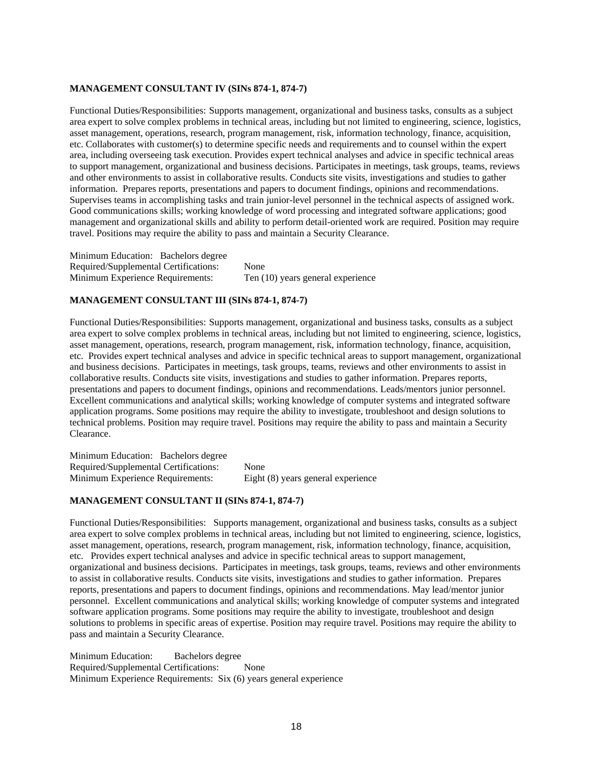# **MANAGEMENT CONSULTANT IV (SINs 874-1, 874-7)**

Functional Duties/Responsibilities: Supports management, organizational and business tasks, consults as a subject area expert to solve complex problems in technical areas, including but not limited to engineering, science, logistics, asset management, operations, research, program management, risk, information technology, finance, acquisition, etc. Collaborates with customer(s) to determine specific needs and requirements and to counsel within the expert area, including overseeing task execution. Provides expert technical analyses and advice in specific technical areas to support management, organizational and business decisions. Participates in meetings, task groups, teams, reviews and other environments to assist in collaborative results. Conducts site visits, investigations and studies to gather information. Prepares reports, presentations and papers to document findings, opinions and recommendations. Supervises teams in accomplishing tasks and train junior-level personnel in the technical aspects of assigned work. Good communications skills; working knowledge of word processing and integrated software applications; good management and organizational skills and ability to perform detail-oriented work are required. Position may require travel. Positions may require the ability to pass and maintain a Security Clearance.

Minimum Education: Bachelors degree Required/Supplemental Certifications: None Minimum Experience Requirements: Ten (10) years general experience

## **MANAGEMENT CONSULTANT III (SINs 874-1, 874-7)**

Functional Duties/Responsibilities: Supports management, organizational and business tasks, consults as a subject area expert to solve complex problems in technical areas, including but not limited to engineering, science, logistics, asset management, operations, research, program management, risk, information technology, finance, acquisition, etc. Provides expert technical analyses and advice in specific technical areas to support management, organizational and business decisions. Participates in meetings, task groups, teams, reviews and other environments to assist in collaborative results. Conducts site visits, investigations and studies to gather information. Prepares reports, presentations and papers to document findings, opinions and recommendations. Leads/mentors junior personnel. Excellent communications and analytical skills; working knowledge of computer systems and integrated software application programs. Some positions may require the ability to investigate, troubleshoot and design solutions to technical problems. Position may require travel. Positions may require the ability to pass and maintain a Security Clearance.

Minimum Education: Bachelors degree Required/Supplemental Certifications: None Minimum Experience Requirements: Eight (8) years general experience

#### **MANAGEMENT CONSULTANT II (SINs 874-1, 874-7)**

Functional Duties/Responsibilities: Supports management, organizational and business tasks, consults as a subject area expert to solve complex problems in technical areas, including but not limited to engineering, science, logistics, asset management, operations, research, program management, risk, information technology, finance, acquisition, etc. Provides expert technical analyses and advice in specific technical areas to support management, organizational and business decisions. Participates in meetings, task groups, teams, reviews and other environments to assist in collaborative results. Conducts site visits, investigations and studies to gather information. Prepares reports, presentations and papers to document findings, opinions and recommendations. May lead/mentor junior personnel. Excellent communications and analytical skills; working knowledge of computer systems and integrated software application programs. Some positions may require the ability to investigate, troubleshoot and design solutions to problems in specific areas of expertise. Position may require travel. Positions may require the ability to pass and maintain a Security Clearance.

Minimum Education: Bachelors degree Required/Supplemental Certifications: None Minimum Experience Requirements: Six (6) years general experience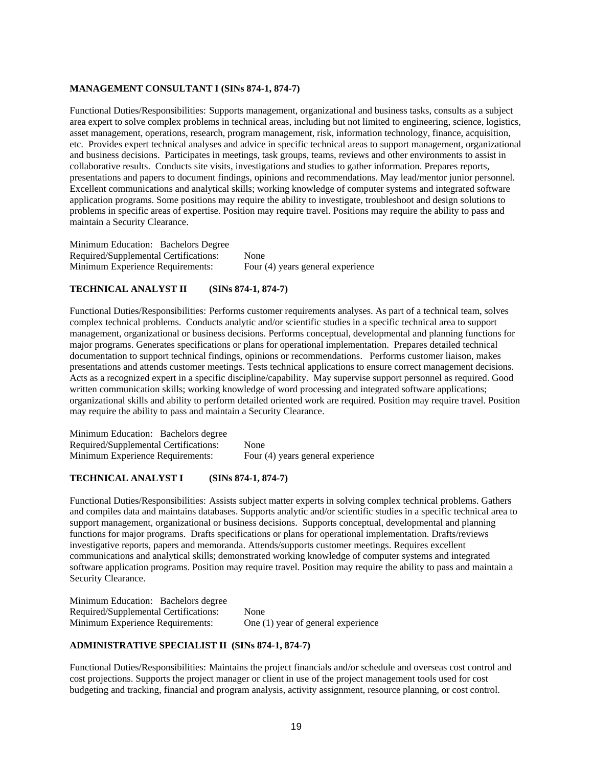# **MANAGEMENT CONSULTANT I (SINs 874-1, 874-7)**

Functional Duties/Responsibilities: Supports management, organizational and business tasks, consults as a subject area expert to solve complex problems in technical areas, including but not limited to engineering, science, logistics, asset management, operations, research, program management, risk, information technology, finance, acquisition, etc. Provides expert technical analyses and advice in specific technical areas to support management, organizational and business decisions. Participates in meetings, task groups, teams, reviews and other environments to assist in collaborative results. Conducts site visits, investigations and studies to gather information. Prepares reports, presentations and papers to document findings, opinions and recommendations. May lead/mentor junior personnel. Excellent communications and analytical skills; working knowledge of computer systems and integrated software application programs. Some positions may require the ability to investigate, troubleshoot and design solutions to problems in specific areas of expertise. Position may require travel. Positions may require the ability to pass and maintain a Security Clearance.

Minimum Education: Bachelors Degree Required/Supplemental Certifications: None Minimum Experience Requirements: Four (4) years general experience

#### **TECHNICAL ANALYST II (SINs 874-1, 874-7)**

Functional Duties/Responsibilities: Performs customer requirements analyses. As part of a technical team, solves complex technical problems. Conducts analytic and/or scientific studies in a specific technical area to support management, organizational or business decisions. Performs conceptual, developmental and planning functions for major programs. Generates specifications or plans for operational implementation. Prepares detailed technical documentation to support technical findings, opinions or recommendations. Performs customer liaison, makes presentations and attends customer meetings. Tests technical applications to ensure correct management decisions. Acts as a recognized expert in a specific discipline/capability. May supervise support personnel as required. Good written communication skills; working knowledge of word processing and integrated software applications; organizational skills and ability to perform detailed oriented work are required. Position may require travel. Position may require the ability to pass and maintain a Security Clearance.

Minimum Education: Bachelors degree Required/Supplemental Certifications: None Minimum Experience Requirements: Four (4) years general experience

# **TECHNICAL ANALYST I (SINs 874-1, 874-7)**

Functional Duties/Responsibilities: Assists subject matter experts in solving complex technical problems. Gathers and compiles data and maintains databases. Supports analytic and/or scientific studies in a specific technical area to support management, organizational or business decisions. Supports conceptual, developmental and planning functions for major programs. Drafts specifications or plans for operational implementation. Drafts/reviews investigative reports, papers and memoranda. Attends/supports customer meetings. Requires excellent communications and analytical skills; demonstrated working knowledge of computer systems and integrated software application programs. Position may require travel. Position may require the ability to pass and maintain a Security Clearance.

Minimum Education: Bachelors degree Required/Supplemental Certifications: None Minimum Experience Requirements: One (1) year of general experience

#### **ADMINISTRATIVE SPECIALIST II (SINs 874-1, 874-7)**

Functional Duties/Responsibilities: Maintains the project financials and/or schedule and overseas cost control and cost projections. Supports the project manager or client in use of the project management tools used for cost budgeting and tracking, financial and program analysis, activity assignment, resource planning, or cost control.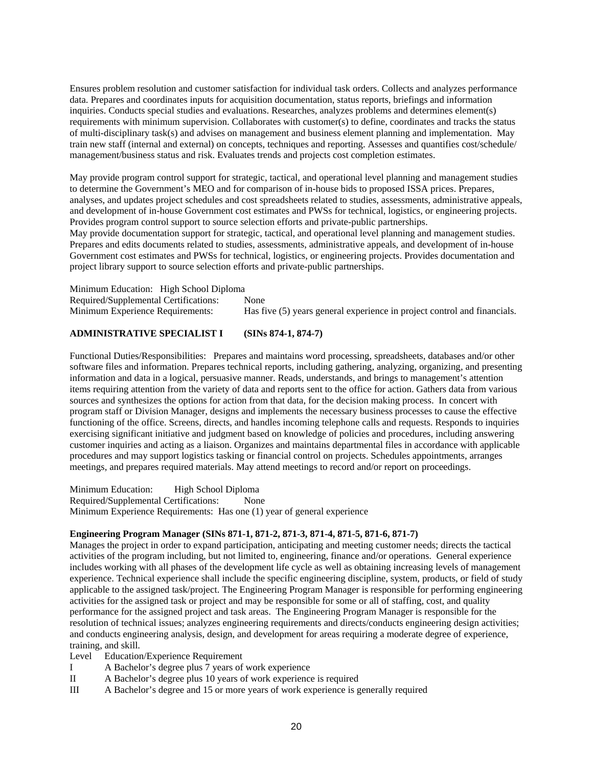Ensures problem resolution and customer satisfaction for individual task orders. Collects and analyzes performance data. Prepares and coordinates inputs for acquisition documentation, status reports, briefings and information inquiries. Conducts special studies and evaluations. Researches, analyzes problems and determines element(s) requirements with minimum supervision. Collaborates with customer(s) to define, coordinates and tracks the status of multi-disciplinary task(s) and advises on management and business element planning and implementation. May train new staff (internal and external) on concepts, techniques and reporting. Assesses and quantifies cost/schedule/ management/business status and risk. Evaluates trends and projects cost completion estimates.

May provide program control support for strategic, tactical, and operational level planning and management studies to determine the Government's MEO and for comparison of in-house bids to proposed ISSA prices. Prepares, analyses, and updates project schedules and cost spreadsheets related to studies, assessments, administrative appeals, and development of in-house Government cost estimates and PWSs for technical, logistics, or engineering projects. Provides program control support to source selection efforts and private-public partnerships.

May provide documentation support for strategic, tactical, and operational level planning and management studies. Prepares and edits documents related to studies, assessments, administrative appeals, and development of in-house Government cost estimates and PWSs for technical, logistics, or engineering projects. Provides documentation and project library support to source selection efforts and private-public partnerships.

Minimum Education: High School Diploma Required/Supplemental Certifications: None Minimum Experience Requirements: Has five (5) years general experience in project control and financials.

## **ADMINISTRATIVE SPECIALIST I (SINs 874-1, 874-7)**

Functional Duties/Responsibilities: Prepares and maintains word processing, spreadsheets, databases and/or other software files and information. Prepares technical reports, including gathering, analyzing, organizing, and presenting information and data in a logical, persuasive manner. Reads, understands, and brings to management's attention items requiring attention from the variety of data and reports sent to the office for action. Gathers data from various sources and synthesizes the options for action from that data, for the decision making process. In concert with program staff or Division Manager, designs and implements the necessary business processes to cause the effective functioning of the office. Screens, directs, and handles incoming telephone calls and requests. Responds to inquiries exercising significant initiative and judgment based on knowledge of policies and procedures, including answering customer inquiries and acting as a liaison. Organizes and maintains departmental files in accordance with applicable procedures and may support logistics tasking or financial control on projects. Schedules appointments, arranges meetings, and prepares required materials. May attend meetings to record and/or report on proceedings.

Minimum Education: High School Diploma Required/Supplemental Certifications: None Minimum Experience Requirements: Has one (1) year of general experience

#### **Engineering Program Manager (SINs 871-1, 871-2, 871-3, 871-4, 871-5, 871-6, 871-7)**

Manages the project in order to expand participation, anticipating and meeting customer needs; directs the tactical activities of the program including, but not limited to, engineering, finance and/or operations. General experience includes working with all phases of the development life cycle as well as obtaining increasing levels of management experience. Technical experience shall include the specific engineering discipline, system, products, or field of study applicable to the assigned task/project. The Engineering Program Manager is responsible for performing engineering activities for the assigned task or project and may be responsible for some or all of staffing, cost, and quality performance for the assigned project and task areas. The Engineering Program Manager is responsible for the resolution of technical issues; analyzes engineering requirements and directs/conducts engineering design activities; and conducts engineering analysis, design, and development for areas requiring a moderate degree of experience, training, and skill.

Level Education/Experience Requirement

- I A Bachelor's degree plus 7 years of work experience
- II A Bachelor's degree plus 10 years of work experience is required
- III A Bachelor's degree and 15 or more years of work experience is generally required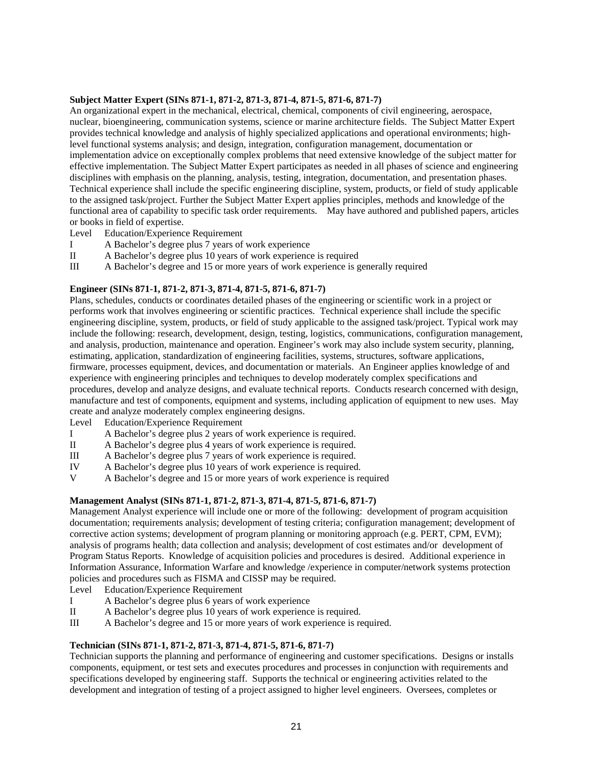# **Subject Matter Expert (SINs 871-1, 871-2, 871-3, 871-4, 871-5, 871-6, 871-7)**

An organizational expert in the mechanical, electrical, chemical, components of civil engineering, aerospace, nuclear, bioengineering, communication systems, science or marine architecture fields. The Subject Matter Expert provides technical knowledge and analysis of highly specialized applications and operational environments; highlevel functional systems analysis; and design, integration, configuration management, documentation or implementation advice on exceptionally complex problems that need extensive knowledge of the subject matter for effective implementation. The Subject Matter Expert participates as needed in all phases of science and engineering disciplines with emphasis on the planning, analysis, testing, integration, documentation, and presentation phases. Technical experience shall include the specific engineering discipline, system, products, or field of study applicable to the assigned task/project. Further the Subject Matter Expert applies principles, methods and knowledge of the functional area of capability to specific task order requirements. May have authored and published papers, articles or books in field of expertise.

- Level Education/Experience Requirement
- I A Bachelor's degree plus 7 years of work experience
- II A Bachelor's degree plus 10 years of work experience is required
- III A Bachelor's degree and 15 or more years of work experience is generally required

## **Engineer (SINs 871-1, 871-2, 871-3, 871-4, 871-5, 871-6, 871-7)**

Plans, schedules, conducts or coordinates detailed phases of the engineering or scientific work in a project or performs work that involves engineering or scientific practices. Technical experience shall include the specific engineering discipline, system, products, or field of study applicable to the assigned task/project. Typical work may include the following: research, development, design, testing, logistics, communications, configuration management, and analysis, production, maintenance and operation. Engineer's work may also include system security, planning, estimating, application, standardization of engineering facilities, systems, structures, software applications, firmware, processes equipment, devices, and documentation or materials. An Engineer applies knowledge of and experience with engineering principles and techniques to develop moderately complex specifications and procedures, develop and analyze designs, and evaluate technical reports. Conducts research concerned with design, manufacture and test of components, equipment and systems, including application of equipment to new uses. May create and analyze moderately complex engineering designs.

- Level Education/Experience Requirement
- I A Bachelor's degree plus 2 years of work experience is required.
- II A Bachelor's degree plus 4 years of work experience is required.
- III A Bachelor's degree plus 7 years of work experience is required.
- IV A Bachelor's degree plus 10 years of work experience is required.
- V A Bachelor's degree and 15 or more years of work experience is required

#### **Management Analyst (SINs 871-1, 871-2, 871-3, 871-4, 871-5, 871-6, 871-7)**

Management Analyst experience will include one or more of the following: development of program acquisition documentation; requirements analysis; development of testing criteria; configuration management; development of corrective action systems; development of program planning or monitoring approach (e.g. PERT, CPM, EVM); analysis of programs health; data collection and analysis; development of cost estimates and/or development of Program Status Reports. Knowledge of acquisition policies and procedures is desired. Additional experience in Information Assurance, Information Warfare and knowledge /experience in computer/network systems protection policies and procedures such as FISMA and CISSP may be required.

Level Education/Experience Requirement

- I A Bachelor's degree plus 6 years of work experience
- II A Bachelor's degree plus 10 years of work experience is required.
- III A Bachelor's degree and 15 or more years of work experience is required.

#### **Technician (SINs 871-1, 871-2, 871-3, 871-4, 871-5, 871-6, 871-7)**

Technician supports the planning and performance of engineering and customer specifications. Designs or installs components, equipment, or test sets and executes procedures and processes in conjunction with requirements and specifications developed by engineering staff. Supports the technical or engineering activities related to the development and integration of testing of a project assigned to higher level engineers. Oversees, completes or